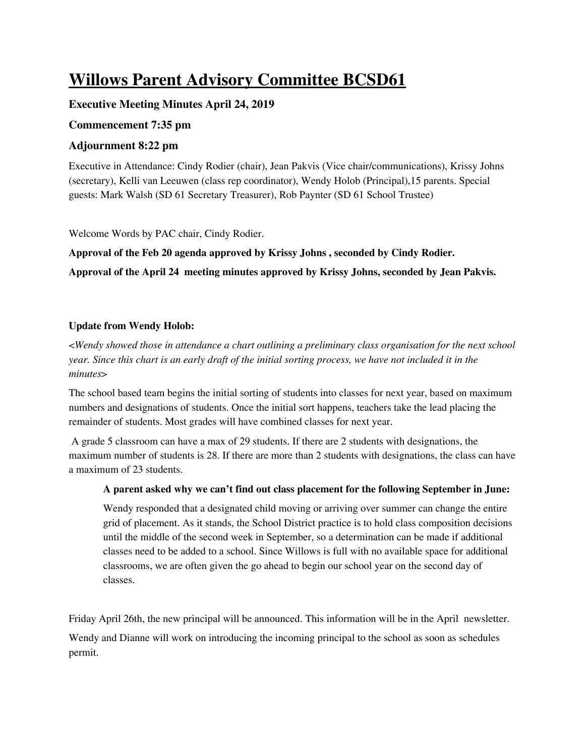# **Willows Parent Advisory Committee BCSD61**

# **Executive Meeting Minutes April 24, 2019**

# **Commencement 7:35 pm**

# **Adjournment 8:22 pm**

Executive in Attendance: Cindy Rodier (chair), Jean Pakvis (Vice chair/communications), Krissy Johns (secretary), Kelli van Leeuwen (class rep coordinator), Wendy Holob (Principal),15 parents. Special guests: Mark Walsh (SD 61 Secretary Treasurer), Rob Paynter (SD 61 School Trustee)

Welcome Words by PAC chair, Cindy Rodier.

**Approval of the Feb 20 agenda approved by Krissy Johns , seconded by Cindy Rodier. Approval of the April 24 meeting minutes approved by Krissy Johns, seconded by Jean Pakvis.**

## **Update from Wendy Holob:**

<*Wendy showed those in attendance a chart outlining a preliminary class organisation for the next school* year. Since this chart is an early draft of the initial sorting process, we have not included it in the *minutes>*

The school based team begins the initial sorting of students into classes for next year, based on maximum numbers and designations of students. Once the initial sort happens, teachers take the lead placing the remainder of students. Most grades will have combined classes for next year.

A grade 5 classroom can have a max of 29 students. If there are 2 students with designations, the maximum number of students is 28. If there are more than 2 students with designations, the class can have a maximum of 23 students.

## **A parent asked why we can't find out class placement for the following September in June:**

Wendy responded that a designated child moving or arriving over summer can change the entire grid of placement. As it stands, the School District practice is to hold class composition decisions until the middle of the second week in September, so a determination can be made if additional classes need to be added to a school. Since Willows is full with no available space for additional classrooms, we are often given the go ahead to begin our school year on the second day of classes.

Friday April 26th, the new principal will be announced. This information will be in the April newsletter.

Wendy and Dianne will work on introducing the incoming principal to the school as soon as schedules permit.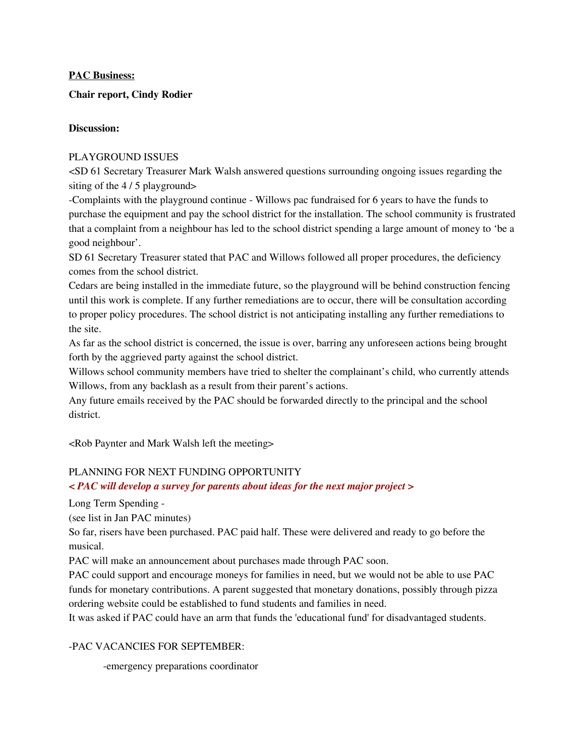#### **PAC Business:**

## **Chair report, Cindy Rodier**

#### **Discussion:**

#### PLAYGROUND ISSUES

<SD 61 Secretary Treasurer Mark Walsh answered questions surrounding ongoing issues regarding the siting of the  $4/5$  playground>

-Complaints with the playground continue - Willows pac fundraised for 6 years to have the funds to purchase the equipment and pay the school district for the installation. The school community is frustrated that a complaint from a neighbour has led to the school district spending a large amount of money to 'be a good neighbour'.

SD 61 Secretary Treasurer stated that PAC and Willows followed all proper procedures, the deficiency comes from the school district.

Cedars are being installed in the immediate future, so the playground will be behind construction fencing until this work is complete. If any further remediations are to occur, there will be consultation according to proper policy procedures. The school district is not anticipating installing any further remediations to the site.

As far as the school district is concerned, the issue is over, barring any unforeseen actions being brought forth by the aggrieved party against the school district.

Willows school community members have tried to shelter the complainant's child, who currently attends Willows, from any backlash as a result from their parent's actions.

Any future emails received by the PAC should be forwarded directly to the principal and the school district.

<Rob Paynter and Mark Walsh left the meeting>

## PLANNING FOR NEXT FUNDING OPPORTUNITY

## *< PAC will develop a survey for parents about ideas for the next major project >*

Long Term Spending -

(see list in Jan PAC minutes)

So far, risers have been purchased. PAC paid half. These were delivered and ready to go before the musical.

PAC will make an announcement about purchases made through PAC soon.

PAC could support and encourage moneys for families in need, but we would not be able to use PAC funds for monetary contributions. A parent suggested that monetary donations, possibly through pizza ordering website could be established to fund students and families in need.

It was asked if PAC could have an arm that funds the 'educational fund' for disadvantaged students.

## -PAC VACANCIES FOR SEPTEMBER:

-emergency preparations coordinator